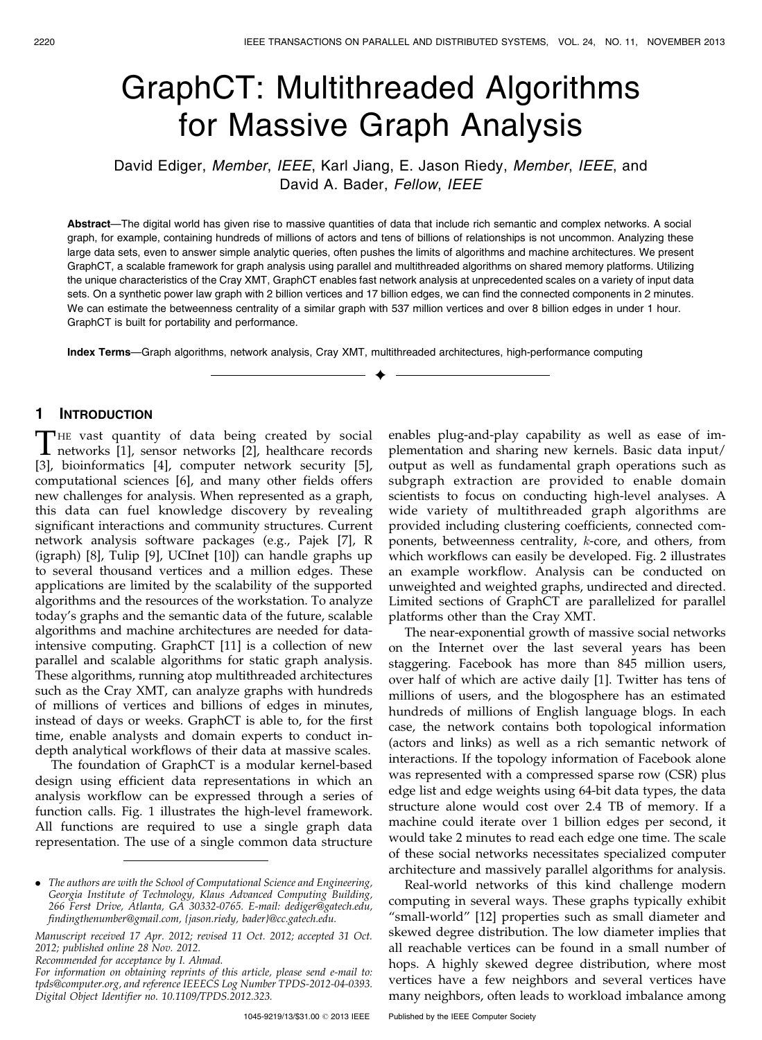# GraphCT: Multithreaded Algorithms for Massive Graph Analysis

David Ediger, Member, IEEE, Karl Jiang, E. Jason Riedy, Member, IEEE, and David A. Bader, Fellow, IEEE

Abstract—The digital world has given rise to massive quantities of data that include rich semantic and complex networks. A social graph, for example, containing hundreds of millions of actors and tens of billions of relationships is not uncommon. Analyzing these large data sets, even to answer simple analytic queries, often pushes the limits of algorithms and machine architectures. We present GraphCT, a scalable framework for graph analysis using parallel and multithreaded algorithms on shared memory platforms. Utilizing the unique characteristics of the Cray XMT, GraphCT enables fast network analysis at unprecedented scales on a variety of input data sets. On a synthetic power law graph with 2 billion vertices and 17 billion edges, we can find the connected components in 2 minutes. We can estimate the betweenness centrality of a similar graph with 537 million vertices and over 8 billion edges in under 1 hour. GraphCT is built for portability and performance.

 $\ddotmark$ 

Index Terms—Graph algorithms, network analysis, Cray XMT, multithreaded architectures, high-performance computing

# 1 INTRODUCTION

THE vast quantity of data being created by social<br>networks [1], sensor networks [2], healthcare records<br>[2], high-formation [4], commuter network contribute [5] [3], bioinformatics [4], computer network security [5], computational sciences [6], and many other fields offers new challenges for analysis. When represented as a graph, this data can fuel knowledge discovery by revealing significant interactions and community structures. Current network analysis software packages (e.g., Pajek [7], R (igraph) [8], Tulip [9], UCInet [10]) can handle graphs up to several thousand vertices and a million edges. These applications are limited by the scalability of the supported algorithms and the resources of the workstation. To analyze today's graphs and the semantic data of the future, scalable algorithms and machine architectures are needed for dataintensive computing. GraphCT [11] is a collection of new parallel and scalable algorithms for static graph analysis. These algorithms, running atop multithreaded architectures such as the Cray XMT, can analyze graphs with hundreds of millions of vertices and billions of edges in minutes, instead of days or weeks. GraphCT is able to, for the first time, enable analysts and domain experts to conduct indepth analytical workflows of their data at massive scales.

The foundation of GraphCT is a modular kernel-based design using efficient data representations in which an analysis workflow can be expressed through a series of function calls. Fig. 1 illustrates the high-level framework. All functions are required to use a single graph data representation. The use of a single common data structure enables plug-and-play capability as well as ease of implementation and sharing new kernels. Basic data input/ output as well as fundamental graph operations such as subgraph extraction are provided to enable domain scientists to focus on conducting high-level analyses. A wide variety of multithreaded graph algorithms are provided including clustering coefficients, connected components, betweenness centrality, k-core, and others, from which workflows can easily be developed. Fig. 2 illustrates an example workflow. Analysis can be conducted on unweighted and weighted graphs, undirected and directed. Limited sections of GraphCT are parallelized for parallel platforms other than the Cray XMT.

The near-exponential growth of massive social networks on the Internet over the last several years has been staggering. Facebook has more than 845 million users, over half of which are active daily [1]. Twitter has tens of millions of users, and the blogosphere has an estimated hundreds of millions of English language blogs. In each case, the network contains both topological information (actors and links) as well as a rich semantic network of interactions. If the topology information of Facebook alone was represented with a compressed sparse row (CSR) plus edge list and edge weights using 64-bit data types, the data structure alone would cost over 2.4 TB of memory. If a machine could iterate over 1 billion edges per second, it would take 2 minutes to read each edge one time. The scale of these social networks necessitates specialized computer architecture and massively parallel algorithms for analysis.

Real-world networks of this kind challenge modern computing in several ways. These graphs typically exhibit "small-world" [12] properties such as small diameter and skewed degree distribution. The low diameter implies that all reachable vertices can be found in a small number of hops. A highly skewed degree distribution, where most vertices have a few neighbors and several vertices have many neighbors, often leads to workload imbalance among

<sup>.</sup> The authors are with the School of Computational Science and Engineering, Georgia Institute of Technology, Klaus Advanced Computing Building, 266 Ferst Drive, Atlanta, GA 30332-0765. E-mail: dediger@gatech.edu, findingthenumber@gmail.com, {jason.riedy, bader}@cc.gatech.edu.

Manuscript received 17 Apr. 2012; revised 11 Oct. 2012; accepted 31 Oct. 2012; published online 28 Nov. 2012.

Recommended for acceptance by I. Ahmad.

For information on obtaining reprints of this article, please send e-mail to: tpds@computer.org, and reference IEEECS Log Number TPDS-2012-04-0393. Digital Object Identifier no. 10.1109/TPDS.2012.323.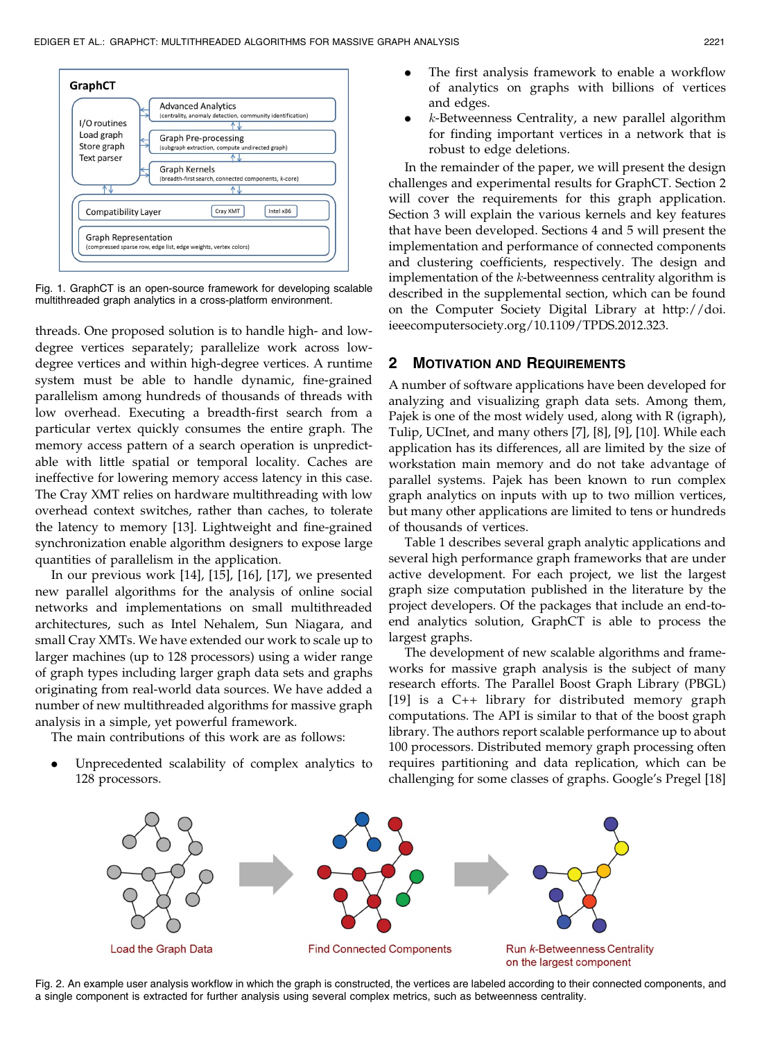| GraphCT<br>I/O routines                  | <b>Advanced Analytics</b><br>(centrality, anomaly detection, community identification)                                                                  |
|------------------------------------------|---------------------------------------------------------------------------------------------------------------------------------------------------------|
| Load graph<br>Store graph<br>Text parser | Graph Pre-processing<br>(subgraph extraction, compute undirected graph)<br><b>Graph Kernels</b><br>(breadth-first search, connected components, k-core) |
| Compatibility Layer                      | Intel x86<br>Cray XMT                                                                                                                                   |
| <b>Graph Representation</b>              | (compressed sparse row, edge list, edge weights, vertex colors)                                                                                         |

Fig. 1. GraphCT is an open-source framework for developing scalable multithreaded graph analytics in a cross-platform environment.

threads. One proposed solution is to handle high- and lowdegree vertices separately; parallelize work across lowdegree vertices and within high-degree vertices. A runtime system must be able to handle dynamic, fine-grained parallelism among hundreds of thousands of threads with low overhead. Executing a breadth-first search from a particular vertex quickly consumes the entire graph. The memory access pattern of a search operation is unpredictable with little spatial or temporal locality. Caches are ineffective for lowering memory access latency in this case. The Cray XMT relies on hardware multithreading with low overhead context switches, rather than caches, to tolerate the latency to memory [13]. Lightweight and fine-grained synchronization enable algorithm designers to expose large quantities of parallelism in the application.

In our previous work [14], [15], [16], [17], we presented new parallel algorithms for the analysis of online social networks and implementations on small multithreaded architectures, such as Intel Nehalem, Sun Niagara, and small Cray XMTs. We have extended our work to scale up to larger machines (up to 128 processors) using a wider range of graph types including larger graph data sets and graphs originating from real-world data sources. We have added a number of new multithreaded algorithms for massive graph analysis in a simple, yet powerful framework.

The main contributions of this work are as follows:

. Unprecedented scalability of complex analytics to 128 processors.

- . The first analysis framework to enable a workflow of analytics on graphs with billions of vertices and edges.
- . k-Betweenness Centrality, a new parallel algorithm for finding important vertices in a network that is robust to edge deletions.

In the remainder of the paper, we will present the design challenges and experimental results for GraphCT. Section 2 will cover the requirements for this graph application. Section 3 will explain the various kernels and key features that have been developed. Sections 4 and 5 will present the implementation and performance of connected components and clustering coefficients, respectively. The design and implementation of the k-betweenness centrality algorithm is described in the supplemental section, which can be found on the Computer Society Digital Library at http://doi. ieeecomputersociety.org/10.1109/TPDS.2012.323.

# 2 MOTIVATION AND REQUIREMENTS

A number of software applications have been developed for analyzing and visualizing graph data sets. Among them, Pajek is one of the most widely used, along with R (igraph), Tulip, UCInet, and many others [7], [8], [9], [10]. While each application has its differences, all are limited by the size of workstation main memory and do not take advantage of parallel systems. Pajek has been known to run complex graph analytics on inputs with up to two million vertices, but many other applications are limited to tens or hundreds of thousands of vertices.

Table 1 describes several graph analytic applications and several high performance graph frameworks that are under active development. For each project, we list the largest graph size computation published in the literature by the project developers. Of the packages that include an end-toend analytics solution, GraphCT is able to process the largest graphs.

The development of new scalable algorithms and frameworks for massive graph analysis is the subject of many research efforts. The Parallel Boost Graph Library (PBGL) [19] is a C++ library for distributed memory graph computations. The API is similar to that of the boost graph library. The authors report scalable performance up to about 100 processors. Distributed memory graph processing often requires partitioning and data replication, which can be challenging for some classes of graphs. Google's Pregel [18]

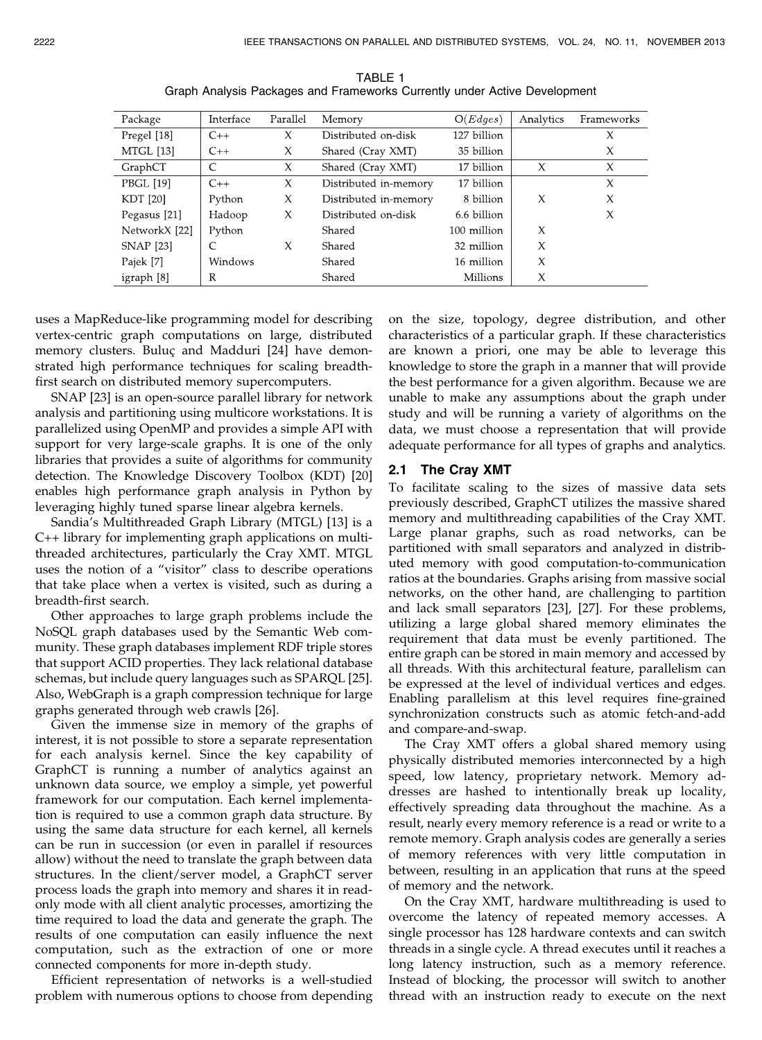| Package          | Interface | Parallel | Memory                | O(Edges)    | Analytics | Frameworks |
|------------------|-----------|----------|-----------------------|-------------|-----------|------------|
| Pregel [18]      | $C++$     | X        | Distributed on-disk   | 127 billion |           | X          |
| <b>MTGL</b> [13] | $C++$     | X        | Shared (Cray XMT)     | 35 billion  |           | $\chi$     |
| GraphCT          | C         | X        | Shared (Cray XMT)     | 17 billion  | X         | X          |
| <b>PBGL</b> [19] | $C++$     | X        | Distributed in-memory | 17 billion  |           | X          |
| KDT [20]         | Python    | X        | Distributed in-memory | 8 billion   | X         | X          |
| Pegasus [21]     | Hadoop    | X        | Distributed on-disk   | 6.6 billion |           | X          |
| NetworkX [22]    | Python    |          | Shared                | 100 million | X         |            |
| <b>SNAP</b> [23] | C         | X        | Shared                | 32 million  | X         |            |
| Pajek [7]        | Windows   |          | Shared                | 16 million  | X         |            |
| igraph [8]       | R         |          | Shared                | Millions    | X         |            |

TABLE 1 Graph Analysis Packages and Frameworks Currently under Active Development

uses a MapReduce-like programming model for describing vertex-centric graph computations on large, distributed memory clusters. Buluç and Madduri [24] have demonstrated high performance techniques for scaling breadthfirst search on distributed memory supercomputers.

SNAP [23] is an open-source parallel library for network analysis and partitioning using multicore workstations. It is parallelized using OpenMP and provides a simple API with support for very large-scale graphs. It is one of the only libraries that provides a suite of algorithms for community detection. The Knowledge Discovery Toolbox (KDT) [20] enables high performance graph analysis in Python by leveraging highly tuned sparse linear algebra kernels.

Sandia's Multithreaded Graph Library (MTGL) [13] is a C++ library for implementing graph applications on multithreaded architectures, particularly the Cray XMT. MTGL uses the notion of a "visitor" class to describe operations that take place when a vertex is visited, such as during a breadth-first search.

Other approaches to large graph problems include the NoSQL graph databases used by the Semantic Web community. These graph databases implement RDF triple stores that support ACID properties. They lack relational database schemas, but include query languages such as SPARQL [25]. Also, WebGraph is a graph compression technique for large graphs generated through web crawls [26].

Given the immense size in memory of the graphs of interest, it is not possible to store a separate representation for each analysis kernel. Since the key capability of GraphCT is running a number of analytics against an unknown data source, we employ a simple, yet powerful framework for our computation. Each kernel implementation is required to use a common graph data structure. By using the same data structure for each kernel, all kernels can be run in succession (or even in parallel if resources allow) without the need to translate the graph between data structures. In the client/server model, a GraphCT server process loads the graph into memory and shares it in readonly mode with all client analytic processes, amortizing the time required to load the data and generate the graph. The results of one computation can easily influence the next computation, such as the extraction of one or more connected components for more in-depth study.

Efficient representation of networks is a well-studied problem with numerous options to choose from depending on the size, topology, degree distribution, and other characteristics of a particular graph. If these characteristics are known a priori, one may be able to leverage this knowledge to store the graph in a manner that will provide the best performance for a given algorithm. Because we are unable to make any assumptions about the graph under study and will be running a variety of algorithms on the data, we must choose a representation that will provide adequate performance for all types of graphs and analytics.

## 2.1 The Cray XMT

To facilitate scaling to the sizes of massive data sets previously described, GraphCT utilizes the massive shared memory and multithreading capabilities of the Cray XMT. Large planar graphs, such as road networks, can be partitioned with small separators and analyzed in distributed memory with good computation-to-communication ratios at the boundaries. Graphs arising from massive social networks, on the other hand, are challenging to partition and lack small separators [23], [27]. For these problems, utilizing a large global shared memory eliminates the requirement that data must be evenly partitioned. The entire graph can be stored in main memory and accessed by all threads. With this architectural feature, parallelism can be expressed at the level of individual vertices and edges. Enabling parallelism at this level requires fine-grained synchronization constructs such as atomic fetch-and-add and compare-and-swap.

The Cray XMT offers a global shared memory using physically distributed memories interconnected by a high speed, low latency, proprietary network. Memory addresses are hashed to intentionally break up locality, effectively spreading data throughout the machine. As a result, nearly every memory reference is a read or write to a remote memory. Graph analysis codes are generally a series of memory references with very little computation in between, resulting in an application that runs at the speed of memory and the network.

On the Cray XMT, hardware multithreading is used to overcome the latency of repeated memory accesses. A single processor has 128 hardware contexts and can switch threads in a single cycle. A thread executes until it reaches a long latency instruction, such as a memory reference. Instead of blocking, the processor will switch to another thread with an instruction ready to execute on the next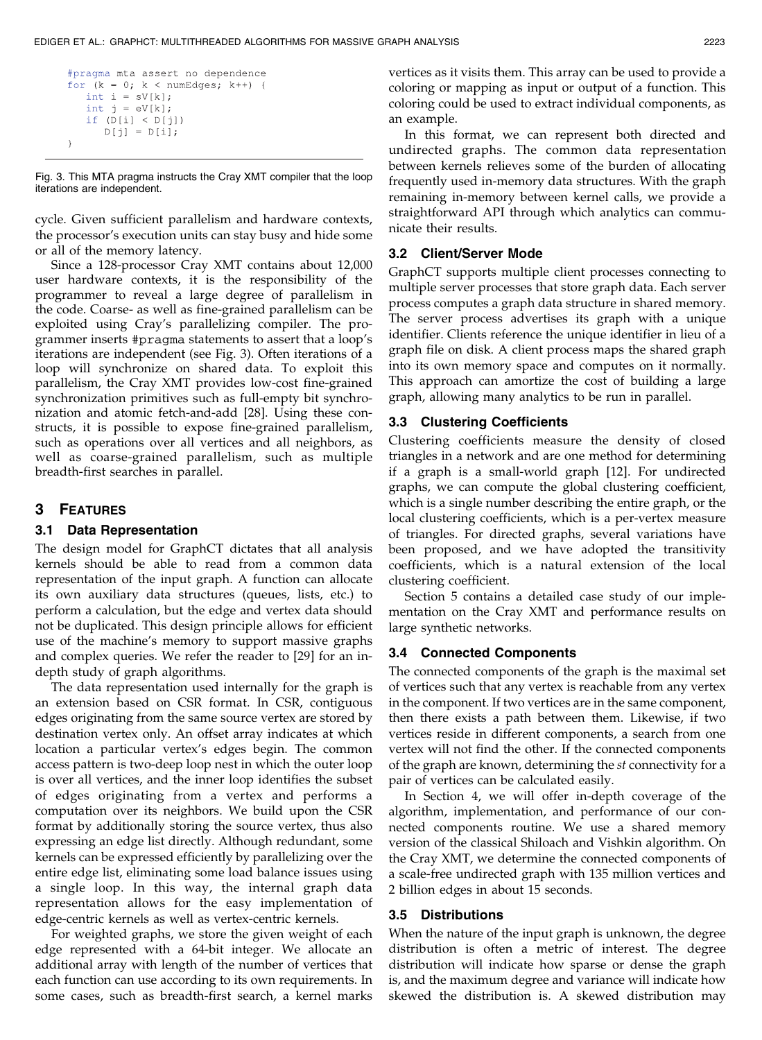```
#pragma mta assert no dependence
for (k = 0; k < number>numEdges; k++) {
   int i = sV[k];
   int \dot{\eta} = eV[k];
   if (D[i] < D[j])D[i] = D[i];\}
```
Fig. 3. This MTA pragma instructs the Cray XMT compiler that the loop iterations are independent.

cycle. Given sufficient parallelism and hardware contexts, the processor's execution units can stay busy and hide some or all of the memory latency.

Since a 128-processor Cray XMT contains about 12,000 user hardware contexts, it is the responsibility of the programmer to reveal a large degree of parallelism in the code. Coarse- as well as fine-grained parallelism can be exploited using Cray's parallelizing compiler. The programmer inserts #pragma statements to assert that a loop's iterations are independent (see Fig. 3). Often iterations of a loop will synchronize on shared data. To exploit this parallelism, the Cray XMT provides low-cost fine-grained synchronization primitives such as full-empty bit synchronization and atomic fetch-and-add [28]. Using these constructs, it is possible to expose fine-grained parallelism, such as operations over all vertices and all neighbors, as well as coarse-grained parallelism, such as multiple breadth-first searches in parallel.

# 3 FEATURES

## 3.1 Data Representation

The design model for GraphCT dictates that all analysis kernels should be able to read from a common data representation of the input graph. A function can allocate its own auxiliary data structures (queues, lists, etc.) to perform a calculation, but the edge and vertex data should not be duplicated. This design principle allows for efficient use of the machine's memory to support massive graphs and complex queries. We refer the reader to [29] for an indepth study of graph algorithms.

The data representation used internally for the graph is an extension based on CSR format. In CSR, contiguous edges originating from the same source vertex are stored by destination vertex only. An offset array indicates at which location a particular vertex's edges begin. The common access pattern is two-deep loop nest in which the outer loop is over all vertices, and the inner loop identifies the subset of edges originating from a vertex and performs a computation over its neighbors. We build upon the CSR format by additionally storing the source vertex, thus also expressing an edge list directly. Although redundant, some kernels can be expressed efficiently by parallelizing over the entire edge list, eliminating some load balance issues using a single loop. In this way, the internal graph data representation allows for the easy implementation of edge-centric kernels as well as vertex-centric kernels.

For weighted graphs, we store the given weight of each edge represented with a 64-bit integer. We allocate an additional array with length of the number of vertices that each function can use according to its own requirements. In some cases, such as breadth-first search, a kernel marks

vertices as it visits them. This array can be used to provide a coloring or mapping as input or output of a function. This coloring could be used to extract individual components, as an example.

In this format, we can represent both directed and undirected graphs. The common data representation between kernels relieves some of the burden of allocating frequently used in-memory data structures. With the graph remaining in-memory between kernel calls, we provide a straightforward API through which analytics can communicate their results.

## 3.2 Client/Server Mode

GraphCT supports multiple client processes connecting to multiple server processes that store graph data. Each server process computes a graph data structure in shared memory. The server process advertises its graph with a unique identifier. Clients reference the unique identifier in lieu of a graph file on disk. A client process maps the shared graph into its own memory space and computes on it normally. This approach can amortize the cost of building a large graph, allowing many analytics to be run in parallel.

## 3.3 Clustering Coefficients

Clustering coefficients measure the density of closed triangles in a network and are one method for determining if a graph is a small-world graph [12]. For undirected graphs, we can compute the global clustering coefficient, which is a single number describing the entire graph, or the local clustering coefficients, which is a per-vertex measure of triangles. For directed graphs, several variations have been proposed, and we have adopted the transitivity coefficients, which is a natural extension of the local clustering coefficient.

Section 5 contains a detailed case study of our implementation on the Cray XMT and performance results on large synthetic networks.

## 3.4 Connected Components

The connected components of the graph is the maximal set of vertices such that any vertex is reachable from any vertex in the component. If two vertices are in the same component, then there exists a path between them. Likewise, if two vertices reside in different components, a search from one vertex will not find the other. If the connected components of the graph are known, determining the st connectivity for a pair of vertices can be calculated easily.

In Section 4, we will offer in-depth coverage of the algorithm, implementation, and performance of our connected components routine. We use a shared memory version of the classical Shiloach and Vishkin algorithm. On the Cray XMT, we determine the connected components of a scale-free undirected graph with 135 million vertices and 2 billion edges in about 15 seconds.

## 3.5 Distributions

When the nature of the input graph is unknown, the degree distribution is often a metric of interest. The degree distribution will indicate how sparse or dense the graph is, and the maximum degree and variance will indicate how skewed the distribution is. A skewed distribution may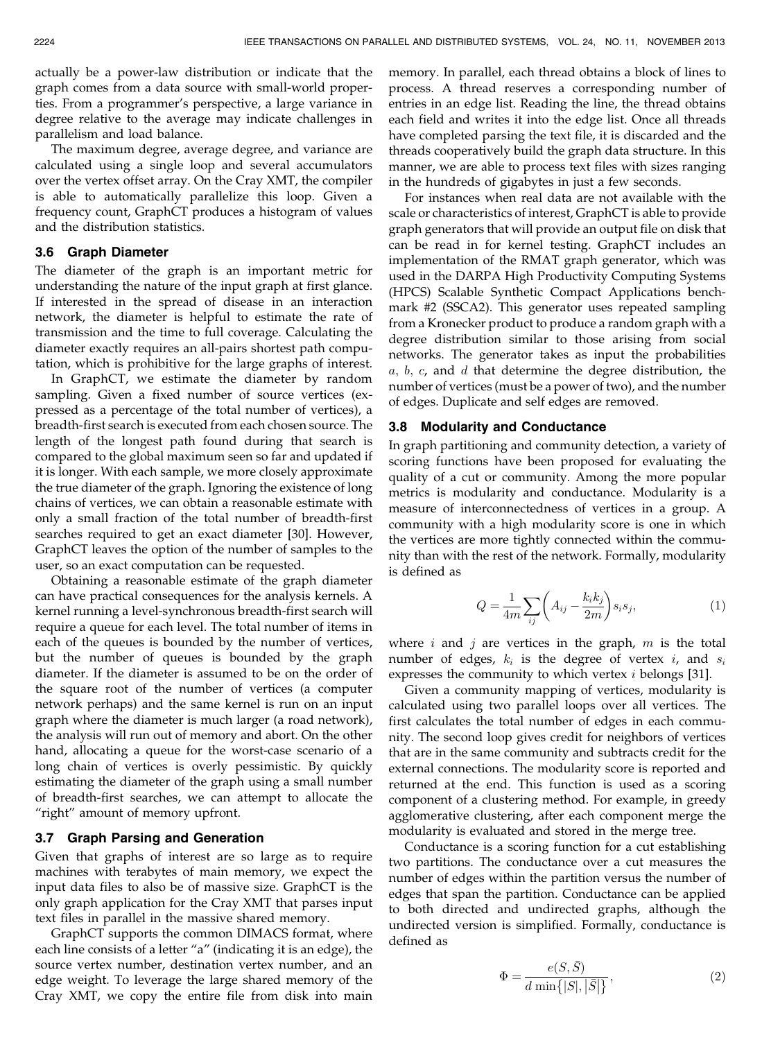actually be a power-law distribution or indicate that the graph comes from a data source with small-world properties. From a programmer's perspective, a large variance in degree relative to the average may indicate challenges in parallelism and load balance.

The maximum degree, average degree, and variance are calculated using a single loop and several accumulators over the vertex offset array. On the Cray XMT, the compiler is able to automatically parallelize this loop. Given a frequency count, GraphCT produces a histogram of values and the distribution statistics.

## 3.6 Graph Diameter

The diameter of the graph is an important metric for understanding the nature of the input graph at first glance. If interested in the spread of disease in an interaction network, the diameter is helpful to estimate the rate of transmission and the time to full coverage. Calculating the diameter exactly requires an all-pairs shortest path computation, which is prohibitive for the large graphs of interest.

In GraphCT, we estimate the diameter by random sampling. Given a fixed number of source vertices (expressed as a percentage of the total number of vertices), a breadth-first search is executed from each chosen source. The length of the longest path found during that search is compared to the global maximum seen so far and updated if it is longer. With each sample, we more closely approximate the true diameter of the graph. Ignoring the existence of long chains of vertices, we can obtain a reasonable estimate with only a small fraction of the total number of breadth-first searches required to get an exact diameter [30]. However, GraphCT leaves the option of the number of samples to the user, so an exact computation can be requested.

Obtaining a reasonable estimate of the graph diameter can have practical consequences for the analysis kernels. A kernel running a level-synchronous breadth-first search will require a queue for each level. The total number of items in each of the queues is bounded by the number of vertices, but the number of queues is bounded by the graph diameter. If the diameter is assumed to be on the order of the square root of the number of vertices (a computer network perhaps) and the same kernel is run on an input graph where the diameter is much larger (a road network), the analysis will run out of memory and abort. On the other hand, allocating a queue for the worst-case scenario of a long chain of vertices is overly pessimistic. By quickly estimating the diameter of the graph using a small number of breadth-first searches, we can attempt to allocate the "right" amount of memory upfront.

## 3.7 Graph Parsing and Generation

Given that graphs of interest are so large as to require machines with terabytes of main memory, we expect the input data files to also be of massive size. GraphCT is the only graph application for the Cray XMT that parses input text files in parallel in the massive shared memory.

GraphCT supports the common DIMACS format, where each line consists of a letter "a" (indicating it is an edge), the source vertex number, destination vertex number, and an edge weight. To leverage the large shared memory of the Cray XMT, we copy the entire file from disk into main memory. In parallel, each thread obtains a block of lines to process. A thread reserves a corresponding number of entries in an edge list. Reading the line, the thread obtains each field and writes it into the edge list. Once all threads have completed parsing the text file, it is discarded and the threads cooperatively build the graph data structure. In this manner, we are able to process text files with sizes ranging in the hundreds of gigabytes in just a few seconds.

For instances when real data are not available with the scale or characteristics of interest, GraphCT is able to provide graph generators that will provide an output file on disk that can be read in for kernel testing. GraphCT includes an implementation of the RMAT graph generator, which was used in the DARPA High Productivity Computing Systems (HPCS) Scalable Synthetic Compact Applications benchmark #2 (SSCA2). This generator uses repeated sampling from a Kronecker product to produce a random graph with a degree distribution similar to those arising from social networks. The generator takes as input the probabilities  $a, b, c,$  and  $d$  that determine the degree distribution, the number of vertices (must be a power of two), and the number of edges. Duplicate and self edges are removed.

## 3.8 Modularity and Conductance

In graph partitioning and community detection, a variety of scoring functions have been proposed for evaluating the quality of a cut or community. Among the more popular metrics is modularity and conductance. Modularity is a measure of interconnectedness of vertices in a group. A community with a high modularity score is one in which the vertices are more tightly connected within the community than with the rest of the network. Formally, modularity is defined as

$$
Q = \frac{1}{4m} \sum_{ij} \left( A_{ij} - \frac{k_i k_j}{2m} \right) s_i s_j,
$$
\n(1)

where  $i$  and  $j$  are vertices in the graph,  $m$  is the total number of edges,  $k_i$  is the degree of vertex  $i$ , and  $s_i$ expresses the community to which vertex  $i$  belongs [31].

Given a community mapping of vertices, modularity is calculated using two parallel loops over all vertices. The first calculates the total number of edges in each community. The second loop gives credit for neighbors of vertices that are in the same community and subtracts credit for the external connections. The modularity score is reported and returned at the end. This function is used as a scoring component of a clustering method. For example, in greedy agglomerative clustering, after each component merge the modularity is evaluated and stored in the merge tree.

Conductance is a scoring function for a cut establishing two partitions. The conductance over a cut measures the number of edges within the partition versus the number of edges that span the partition. Conductance can be applied to both directed and undirected graphs, although the undirected version is simplified. Formally, conductance is defined as

$$
\Phi = \frac{e(S,\bar{S})}{d \min\{|S|,|\bar{S}|\}},\tag{2}
$$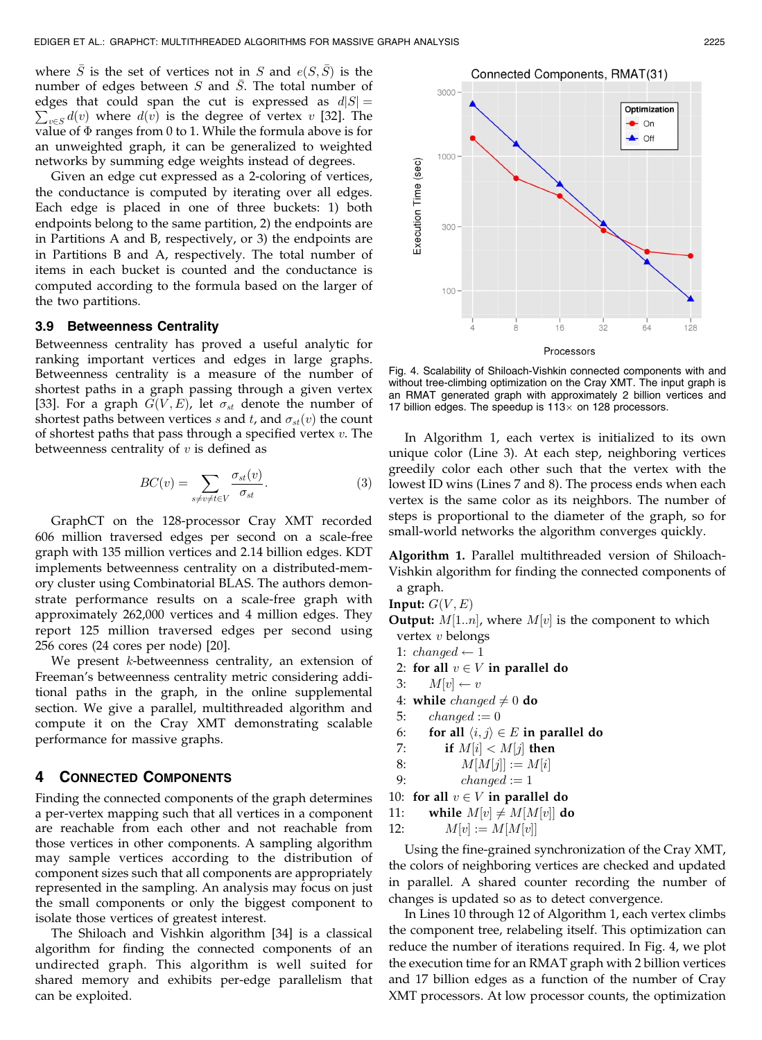where  $\overline{S}$  is the set of vertices not in S and  $e(S, \overline{S})$  is the number of edges between  $S$  and  $\overline{S}$ . The total number of edges that could span the cut is expressed as  $d|S| =$  $\sum_{v \in S} d(v)$  where  $d(v)$  is the degree of vertex v [32]. The value of  $\Phi$  ranges from 0 to 1. While the formula above is for an unweighted graph, it can be generalized to weighted networks by summing edge weights instead of degrees.

Given an edge cut expressed as a 2-coloring of vertices, the conductance is computed by iterating over all edges. Each edge is placed in one of three buckets: 1) both endpoints belong to the same partition, 2) the endpoints are in Partitions A and B, respectively, or 3) the endpoints are in Partitions B and A, respectively. The total number of items in each bucket is counted and the conductance is computed according to the formula based on the larger of the two partitions.

## 3.9 Betweenness Centrality

Betweenness centrality has proved a useful analytic for ranking important vertices and edges in large graphs. Betweenness centrality is a measure of the number of shortest paths in a graph passing through a given vertex [33]. For a graph  $G(V, E)$ , let  $\sigma_{st}$  denote the number of shortest paths between vertices  $s$  and  $t$ , and  $\sigma_{st}(v)$  the count of shortest paths that pass through a specified vertex  $v$ . The betweenness centrality of  $v$  is defined as

$$
BC(v) = \sum_{s \neq v \neq t \in V} \frac{\sigma_{st}(v)}{\sigma_{st}}.
$$
 (3)

GraphCT on the 128-processor Cray XMT recorded 606 million traversed edges per second on a scale-free graph with 135 million vertices and 2.14 billion edges. KDT implements betweenness centrality on a distributed-memory cluster using Combinatorial BLAS. The authors demonstrate performance results on a scale-free graph with approximately 262,000 vertices and 4 million edges. They report 125 million traversed edges per second using 256 cores (24 cores per node) [20].

We present *k*-betweenness centrality, an extension of Freeman's betweenness centrality metric considering additional paths in the graph, in the online supplemental section. We give a parallel, multithreaded algorithm and compute it on the Cray XMT demonstrating scalable performance for massive graphs.

## 4 CONNECTED COMPONENTS

Finding the connected components of the graph determines a per-vertex mapping such that all vertices in a component are reachable from each other and not reachable from those vertices in other components. A sampling algorithm may sample vertices according to the distribution of component sizes such that all components are appropriately represented in the sampling. An analysis may focus on just the small components or only the biggest component to isolate those vertices of greatest interest.

The Shiloach and Vishkin algorithm [34] is a classical algorithm for finding the connected components of an undirected graph. This algorithm is well suited for shared memory and exhibits per-edge parallelism that can be exploited.

Fig. 4. Scalability of Shiloach-Vishkin connected components with and without tree-climbing optimization on the Cray XMT. The input graph is an RMAT generated graph with approximately 2 billion vertices and 17 billion edges. The speedup is  $113 \times$  on 128 processors.

In Algorithm 1, each vertex is initialized to its own unique color (Line 3). At each step, neighboring vertices greedily color each other such that the vertex with the lowest ID wins (Lines 7 and 8). The process ends when each vertex is the same color as its neighbors. The number of steps is proportional to the diameter of the graph, so for small-world networks the algorithm converges quickly.

Algorithm 1. Parallel multithreaded version of Shiloach-Vishkin algorithm for finding the connected components of a graph.

Input:  $G(V, E)$ 

**Output:**  $M[1..n]$ , where  $M[v]$  is the component to which vertex  $v$  belongs

- 1: changed  $\leftarrow$  1
- 2: for all  $v \in V$  in parallel do
- 3:  $M[v] \leftarrow v$
- 4: while *changed*  $\neq 0$  do
- 5:  $changed := 0$
- 6: for all  $\langle i, j \rangle \in E$  in parallel do
- 7: if  $M[i] < M[j]$  then

8: 
$$
M[M[j]] := M[i]
$$

- 9:  $changed := 1$
- 10: for all  $v \in V$  in parallel do
- 11: while  $M[v] \neq M[M[v]]$  do
- 12:  $M[v] := M[M[v]]$

Using the fine-grained synchronization of the Cray XMT, the colors of neighboring vertices are checked and updated in parallel. A shared counter recording the number of changes is updated so as to detect convergence.

In Lines 10 through 12 of Algorithm 1, each vertex climbs the component tree, relabeling itself. This optimization can reduce the number of iterations required. In Fig. 4, we plot the execution time for an RMAT graph with 2 billion vertices and 17 billion edges as a function of the number of Cray XMT processors. At low processor counts, the optimization

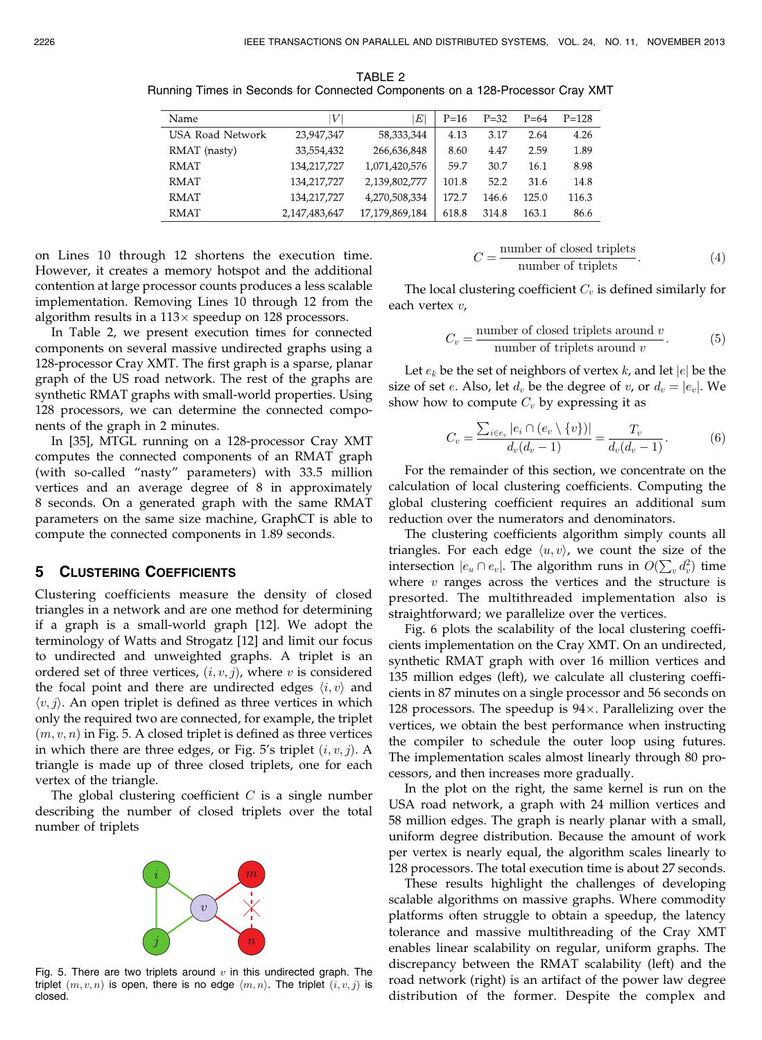| Name             | V             | $E\vert$       | $P = 16$ | $P = 32$ | $P = 64$ | $P = 128$ |
|------------------|---------------|----------------|----------|----------|----------|-----------|
| USA Road Network | 23,947,347    | 58,333,344     | 4.13     | 3.17     | 2.64     | 4.26      |
| RMAT (nasty)     | 33,554,432    | 266,636,848    | 8.60     | 4.47     | 2.59     | 1.89      |
| <b>RMAT</b>      | 134,217,727   | 1.071.420.576  | 59.7     | 30.7     | 16.1     | 8.98      |
| <b>RMAT</b>      | 134,217,727   | 2,139,802,777  | 101.8    | 52.2     | 31.6     | 14.8      |
| <b>RMAT</b>      | 134,217,727   | 4,270,508,334  | 172.7    | 146.6    | 125.0    | 116.3     |
| <b>RMAT</b>      | 2,147,483,647 | 17.179.869.184 | 618.8    | 314.8    | 163.1    | 86.6      |

TABLE 2 Running Times in Seconds for Connected Components on a 128-Processor Cray XMT

on Lines 10 through 12 shortens the execution time. However, it creates a memory hotspot and the additional contention at large processor counts produces a less scalable implementation. Removing Lines 10 through 12 from the algorithm results in a  $113\times$  speedup on 128 processors.

In Table 2, we present execution times for connected components on several massive undirected graphs using a 128-processor Cray XMT. The first graph is a sparse, planar graph of the US road network. The rest of the graphs are synthetic RMAT graphs with small-world properties. Using 128 processors, we can determine the connected components of the graph in 2 minutes.

In [35], MTGL running on a 128-processor Cray XMT computes the connected components of an RMAT graph (with so-called "nasty" parameters) with 33.5 million vertices and an average degree of 8 in approximately 8 seconds. On a generated graph with the same RMAT parameters on the same size machine, GraphCT is able to compute the connected components in 1.89 seconds.

# 5 CLUSTERING COEFFICIENTS

Clustering coefficients measure the density of closed triangles in a network and are one method for determining if a graph is a small-world graph [12]. We adopt the terminology of Watts and Strogatz [12] and limit our focus to undirected and unweighted graphs. A triplet is an ordered set of three vertices,  $(i, v, j)$ , where v is considered the focal point and there are undirected edges  $\langle i, v \rangle$  and  $\langle v, j \rangle$ . An open triplet is defined as three vertices in which only the required two are connected, for example, the triplet  $(m, v, n)$  in Fig. 5. A closed triplet is defined as three vertices in which there are three edges, or Fig. 5's triplet  $(i, v, j)$ . A triangle is made up of three closed triplets, one for each vertex of the triangle.

The global clustering coefficient  $C$  is a single number describing the number of closed triplets over the total number of triplets



Fig. 5. There are two triplets around  $v$  in this undirected graph. The triplet  $(m, v, n)$  is open, there is no edge  $\langle m, n \rangle$ . The triplet  $(i, v, j)$  is closed.

$$
C = \frac{\text{number of closed triplets}}{\text{number of triplets}}.
$$
 (4)

The local clustering coefficient  $C_v$  is defined similarly for each vertex v,

$$
C_v = \frac{\text{number of closed triplets around } v}{\text{number of triplets around } v}.
$$
 (5)

Let  $e_k$  be the set of neighbors of vertex  $k$ , and let  $|e|$  be the size of set *e*. Also, let  $d_v$  be the degree of v, or  $d_v = |e_v|$ . We show how to compute  $C_v$  by expressing it as

$$
C_v = \frac{\sum_{i \in e_v} |e_i \cap (e_v \setminus \{v\})|}{d_v(d_v - 1)} = \frac{T_v}{d_v(d_v - 1)}.
$$
 (6)

For the remainder of this section, we concentrate on the calculation of local clustering coefficients. Computing the global clustering coefficient requires an additional sum reduction over the numerators and denominators.

The clustering coefficients algorithm simply counts all triangles. For each edge  $\langle u, v \rangle$ , we count the size of the intersection  $|e_u \cap e_v|$ . The algorithm runs in  $O(\sum_v d_v^2)$  time where  $v$  ranges across the vertices and the structure is presorted. The multithreaded implementation also is straightforward; we parallelize over the vertices.

Fig. 6 plots the scalability of the local clustering coefficients implementation on the Cray XMT. On an undirected, synthetic RMAT graph with over 16 million vertices and 135 million edges (left), we calculate all clustering coefficients in 87 minutes on a single processor and 56 seconds on 128 processors. The speedup is  $94\times$ . Parallelizing over the vertices, we obtain the best performance when instructing the compiler to schedule the outer loop using futures. The implementation scales almost linearly through 80 processors, and then increases more gradually.

In the plot on the right, the same kernel is run on the USA road network, a graph with 24 million vertices and 58 million edges. The graph is nearly planar with a small, uniform degree distribution. Because the amount of work per vertex is nearly equal, the algorithm scales linearly to 128 processors. The total execution time is about 27 seconds.

These results highlight the challenges of developing scalable algorithms on massive graphs. Where commodity platforms often struggle to obtain a speedup, the latency tolerance and massive multithreading of the Cray XMT enables linear scalability on regular, uniform graphs. The discrepancy between the RMAT scalability (left) and the road network (right) is an artifact of the power law degree distribution of the former. Despite the complex and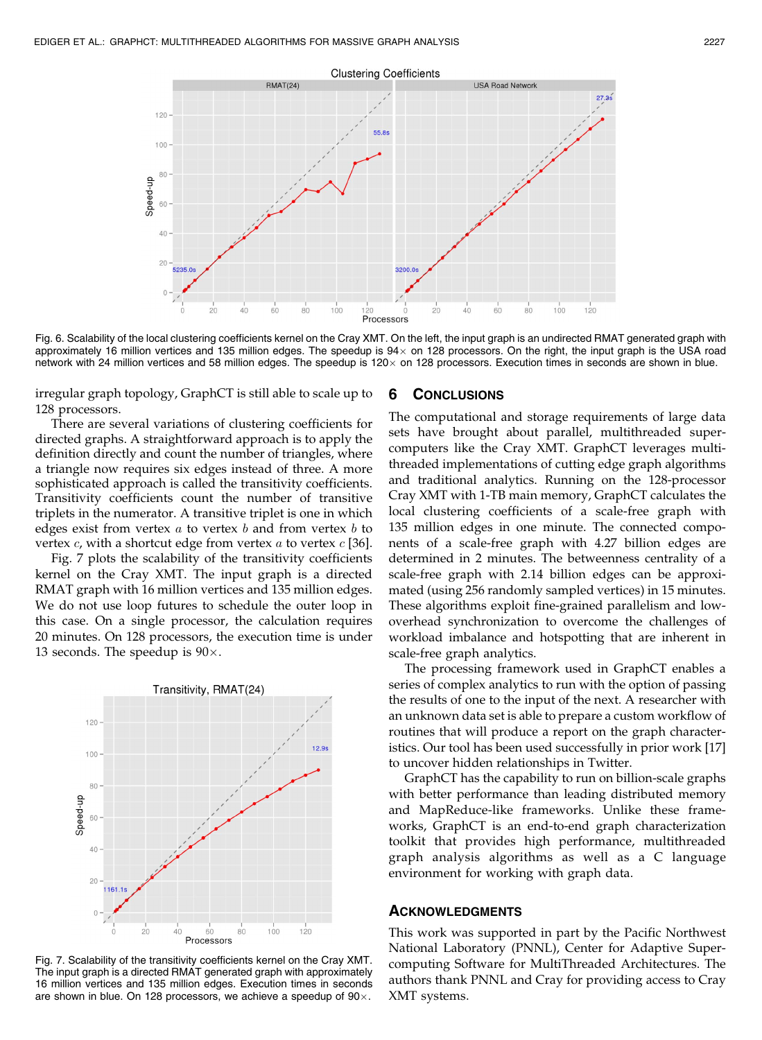

Fig. 6. Scalability of the local clustering coefficients kernel on the Cray XMT. On the left, the input graph is an undirected RMAT generated graph with approximately 16 million vertices and 135 million edges. The speedup is  $94 \times$  on 128 processors. On the right, the input graph is the USA road network with 24 million vertices and 58 million edges. The speedup is  $120 \times$  on 128 processors. Execution times in seconds are shown in blue.

irregular graph topology, GraphCT is still able to scale up to 128 processors.

There are several variations of clustering coefficients for directed graphs. A straightforward approach is to apply the definition directly and count the number of triangles, where a triangle now requires six edges instead of three. A more sophisticated approach is called the transitivity coefficients. Transitivity coefficients count the number of transitive triplets in the numerator. A transitive triplet is one in which edges exist from vertex  $a$  to vertex  $b$  and from vertex  $b$  to vertex  $c$ , with a shortcut edge from vertex  $a$  to vertex  $c$  [36].

Fig. 7 plots the scalability of the transitivity coefficients kernel on the Cray XMT. The input graph is a directed RMAT graph with 16 million vertices and 135 million edges. We do not use loop futures to schedule the outer loop in this case. On a single processor, the calculation requires 20 minutes. On 128 processors, the execution time is under 13 seconds. The speedup is  $90\times$ .



Fig. 7. Scalability of the transitivity coefficients kernel on the Cray XMT. The input graph is a directed RMAT generated graph with approximately 16 million vertices and 135 million edges. Execution times in seconds are shown in blue. On 128 processors, we achieve a speedup of  $90\times$ .

#### 6 CONCLUSIONS

The computational and storage requirements of large data sets have brought about parallel, multithreaded supercomputers like the Cray XMT. GraphCT leverages multithreaded implementations of cutting edge graph algorithms and traditional analytics. Running on the 128-processor Cray XMT with 1-TB main memory, GraphCT calculates the local clustering coefficients of a scale-free graph with 135 million edges in one minute. The connected components of a scale-free graph with 4.27 billion edges are determined in 2 minutes. The betweenness centrality of a scale-free graph with 2.14 billion edges can be approximated (using 256 randomly sampled vertices) in 15 minutes. These algorithms exploit fine-grained parallelism and lowoverhead synchronization to overcome the challenges of workload imbalance and hotspotting that are inherent in scale-free graph analytics.

The processing framework used in GraphCT enables a series of complex analytics to run with the option of passing the results of one to the input of the next. A researcher with an unknown data set is able to prepare a custom workflow of routines that will produce a report on the graph characteristics. Our tool has been used successfully in prior work [17] to uncover hidden relationships in Twitter.

GraphCT has the capability to run on billion-scale graphs with better performance than leading distributed memory and MapReduce-like frameworks. Unlike these frameworks, GraphCT is an end-to-end graph characterization toolkit that provides high performance, multithreaded graph analysis algorithms as well as a C language environment for working with graph data.

## ACKNOWLEDGMENTS

This work was supported in part by the Pacific Northwest National Laboratory (PNNL), Center for Adaptive Supercomputing Software for MultiThreaded Architectures. The authors thank PNNL and Cray for providing access to Cray XMT systems.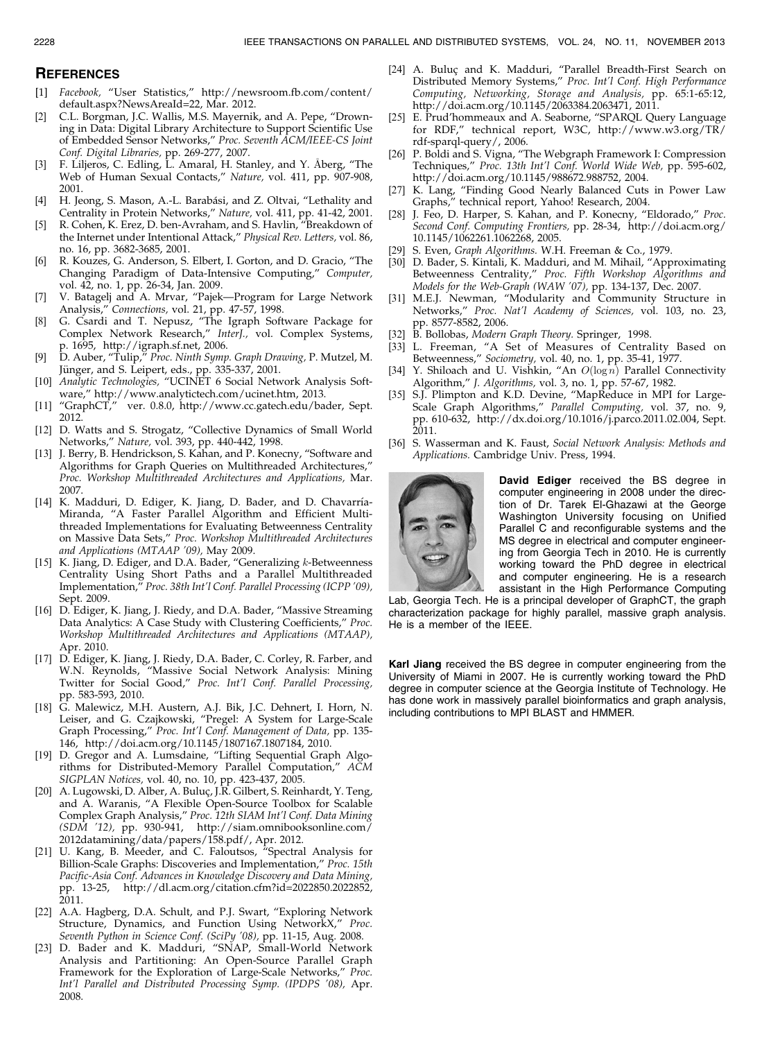## **REFERENCES**

- [1] Facebook, "User Statistics," http://newsroom.fb.com/content/ default.aspx?NewsAreaId=22, Mar. 2012.
- [2] C.L. Borgman, J.C. Wallis, M.S. Mayernik, and A. Pepe, "Drowning in Data: Digital Library Architecture to Support Scientific Use of Embedded Sensor Networks," Proc. Seventh ACM/IEEE-CS Joint Conf. Digital Libraries, pp. 269-277, 2007.
- [3] F. Liljeros, C. Edling, L. Amaral, H. Stanley, and Y. Aberg, "The Web of Human Sexual Contacts," Nature, vol. 411, pp. 907-908, 2001.
- [4] H. Jeong, S. Mason, A.-L. Barabási, and Z. Oltvai, "Lethality and Centrality in Protein Networks," Nature, vol. 411, pp. 41-42, 2001.
- [5] R. Cohen, K. Erez, D. ben-Avraham, and S. Havlin, "Breakdown of the Internet under Intentional Attack," Physical Rev. Letters, vol. 86, no. 16, pp. 3682-3685, 2001.
- [6] R. Kouzes, G. Anderson, S. Elbert, I. Gorton, and D. Gracio, "The Changing Paradigm of Data-Intensive Computing," Computer, vol. 42, no. 1, pp. 26-34, Jan. 2009.
- [7] V. Batagelj and A. Mrvar, "Pajek—Program for Large Network Analysis," Connections, vol. 21, pp. 47-57, 1998.
- [8] G. Csardi and T. Nepusz, "The Igraph Software Package for Complex Network Research," InterJ., vol. Complex Systems, p. 1695, http://igraph.sf.net, 2006.
- [9] D. Auber, "Tulip," Proc. Ninth Symp. Graph Drawing, P. Mutzel, M. Jünger, and S. Leipert, eds., pp. 335-337, 2001.
- [10] Analytic Technologies, "UCINET 6 Social Network Analysis Software," http://www.analytictech.com/ucinet.htm, 2013.
- [11] "GraphCT," ver. 0.8.0, http://www.cc.gatech.edu/bader, Sept. 2012.
- [12] D. Watts and S. Strogatz, "Collective Dynamics of Small World Networks," Nature, vol. 393, pp. 440-442, 1998.
- [13] J. Berry, B. Hendrickson, S. Kahan, and P. Konecny, "Software and Algorithms for Graph Queries on Multithreaded Architectures," Proc. Workshop Multithreaded Architectures and Applications, Mar. 2007.
- [14] K. Madduri, D. Ediger, K. Jiang, D. Bader, and D. Chavarría-Miranda, "A Faster Parallel Algorithm and Efficient Multithreaded Implementations for Evaluating Betweenness Centrality on Massive Data Sets," Proc. Workshop Multithreaded Architectures and Applications (MTAAP '09), May 2009.
- [15] K. Jiang, D. Ediger, and D.A. Bader, "Generalizing k-Betweenness Centrality Using Short Paths and a Parallel Multithreaded Implementation," Proc. 38th Int'l Conf. Parallel Processing (ICPP '09), Sept. 2009.
- [16] D. Ediger, K. Jiang, J. Riedy, and D.A. Bader, "Massive Streaming Data Analytics: A Case Study with Clustering Coefficients," Proc. Workshop Multithreaded Architectures and Applications (MTAAP), Apr. 2010.
- [17] D. Ediger, K. Jiang, J. Riedy, D.A. Bader, C. Corley, R. Farber, and W.N. Reynolds, "Massive Social Network Analysis: Mining Twitter for Social Good," Proc. Int'l Conf. Parallel Processing, pp. 583-593, 2010.
- [18] G. Malewicz, M.H. Austern, A.J. Bik, J.C. Dehnert, I. Horn, N. Leiser, and G. Czajkowski, "Pregel: A System for Large-Scale Graph Processing," Proc. Int'l Conf. Management of Data, pp. 135- 146, http://doi.acm.org/10.1145/1807167.1807184, 2010.
- [19] D. Gregor and A. Lumsdaine, "Lifting Sequential Graph Algorithms for Distributed-Memory Parallel Computation," ACM SIGPLAN Notices, vol. 40, no. 10, pp. 423-437, 2005.
- [20] A. Lugowski, D. Alber, A. Buluç, J.R. Gilbert, S. Reinhardt, Y. Teng, and A. Waranis, "A Flexible Open-Source Toolbox for Scalable Complex Graph Analysis," Proc. 12th SIAM Int'l Conf. Data Mining (SDM '12), pp. 930-941, http://siam.omnibooksonline.com/ 2012datamining/data/papers/158.pdf/, Apr. 2012.
- [21] U. Kang, B. Meeder, and C. Faloutsos, "Spectral Analysis for Billion-Scale Graphs: Discoveries and Implementation," Proc. 15th Pacific-Asia Conf. Advances in Knowledge Discovery and Data Mining, pp. 13-25, http://dl.acm.org/citation.cfm?id=2022850.2022852, 2011.
- [22] A.A. Hagberg, D.A. Schult, and P.J. Swart, "Exploring Network Structure, Dynamics, and Function Using NetworkX," Proc. Seventh Python in Science Conf. (SciPy '08), pp. 11-15, Aug. 2008.
- [23] D. Bader and K. Madduri, "SNAP, Small-World Network Analysis and Partitioning: An Open-Source Parallel Graph Framework for the Exploration of Large-Scale Networks," Proc. Int'l Parallel and Distributed Processing Symp. (IPDPS '08), Apr. 2008.
- [24] A. Buluç and K. Madduri, "Parallel Breadth-First Search on Distributed Memory Systems," Proc. Int'l Conf. High Performance Computing, Networking, Storage and Analysis, pp. 65:1-65:12, http://doi.acm.org/10.1145/2063384.2063471, 2011.
- [25] E. Prud'hommeaux and A. Seaborne, "SPARQL Query Language for RDF," technical report, W3C, http://www.w3.org/TR/ rdf-sparql-query/, 2006.
- [26] P. Boldi and S. Vigna, "The Webgraph Framework I: Compression Techniques," Proc. 13th Int'l Conf. World Wide Web, pp. 595-602, http://doi.acm.org/10.1145/988672.988752, 2004.
- [27] K. Lang, "Finding Good Nearly Balanced Cuts in Power Law Graphs," technical report, Yahoo! Research, 2004.
- [28] J. Feo, D. Harper, S. Kahan, and P. Konecny, "Eldorado," Proc. Second Conf. Computing Frontiers, pp. 28-34, http://doi.acm.org/ 10.1145/1062261.1062268, 2005.
- [29] S. Even, Graph Algorithms. W.H. Freeman & Co., 1979.
- [30] D. Bader, S. Kintali, K. Madduri, and M. Mihail, "Approximating Betweenness Centrality," Proc. Fifth Workshop Algorithms and Models for the Web-Graph (WAW '07), pp. 134-137, Dec. 2007.
- [31] M.E.J. Newman, "Modularity and Community Structure in Networks," Proc. Nat'l Academy of Sciences, vol. 103, no. 23, pp. 8577-8582, 2006.
- [32] B. Bollobas, Modern Graph Theory. Springer, 1998.
- [33] L. Freeman, "A Set of Measures of Centrality Based on Betweenness," Sociometry, vol. 40, no. 1, pp. 35-41, 1977.
- [34] Y. Shiloach and U. Vishkin, "An  $O(\log n)$  Parallel Connectivity Algorithm," J. Algorithms, vol. 3, no. 1, pp. 57-67, 1982.
- [35] S.J. Plimpton and K.D. Devine, "MapReduce in MPI for Large-Scale Graph Algorithms," Parallel Computing, vol. 37, no. 9, pp. 610-632, http://dx.doi.org/10.1016/j.parco.2011.02.004, Sept. 2011.
- [36] S. Wasserman and K. Faust, Social Network Analysis: Methods and Applications. Cambridge Univ. Press, 1994.



David Ediger received the BS degree in computer engineering in 2008 under the direction of Dr. Tarek El-Ghazawi at the George Washington University focusing on Unified Parallel C and reconfigurable systems and the MS degree in electrical and computer engineering from Georgia Tech in 2010. He is currently working toward the PhD degree in electrical and computer engineering. He is a research assistant in the High Performance Computing

Lab, Georgia Tech. He is a principal developer of GraphCT, the graph characterization package for highly parallel, massive graph analysis. He is a member of the IEEE.

Karl Jiang received the BS degree in computer engineering from the University of Miami in 2007. He is currently working toward the PhD degree in computer science at the Georgia Institute of Technology. He has done work in massively parallel bioinformatics and graph analysis, including contributions to MPI BLAST and HMMER.